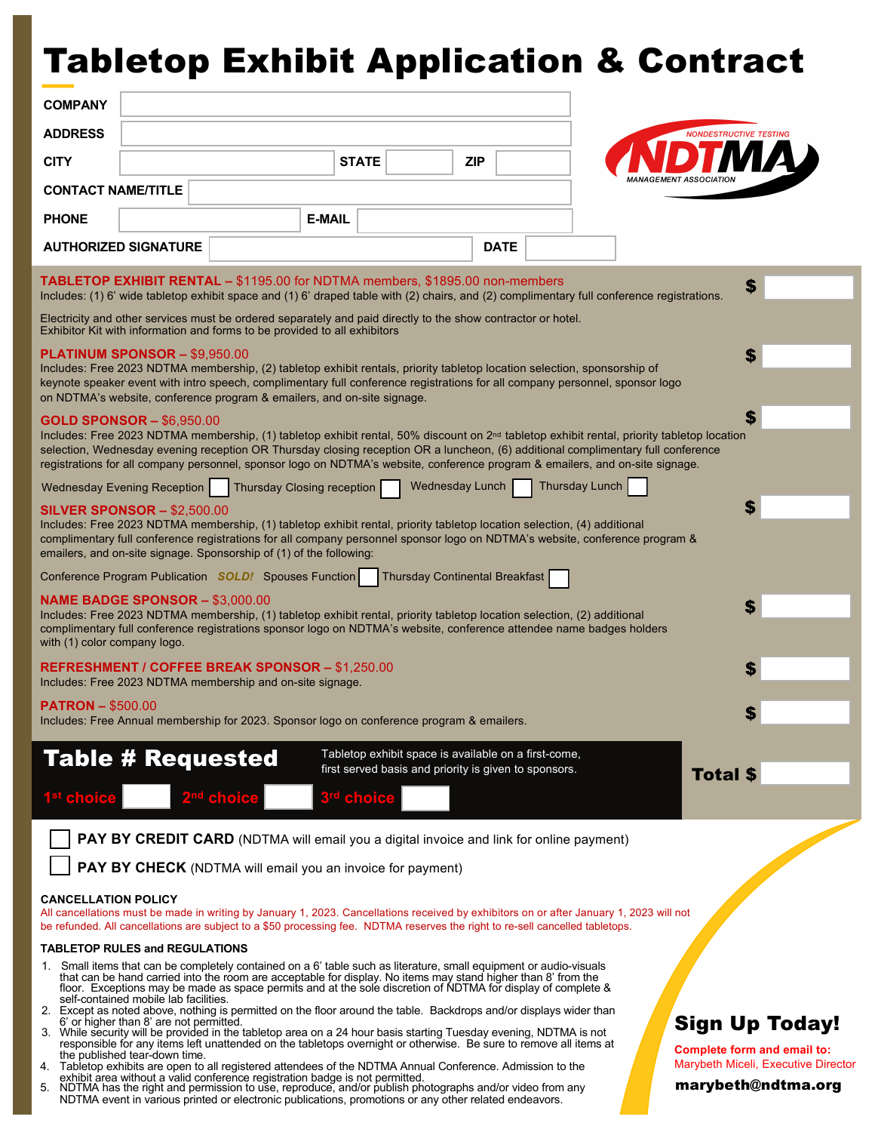## Tabletop Exhibit Application & Contract

| <b>COMPANY</b>                                                                                                                                                                                                                                                                                                                                                                                                                                                                           |                                                                                                                   |                                                                                                                     |               |                                                                                                                                                                                                                                                                                                                                                                                                                                                                                                                                                                                                                                                                                                                                                                                                                                   |             |  |                                                                                                    |  |
|------------------------------------------------------------------------------------------------------------------------------------------------------------------------------------------------------------------------------------------------------------------------------------------------------------------------------------------------------------------------------------------------------------------------------------------------------------------------------------------|-------------------------------------------------------------------------------------------------------------------|---------------------------------------------------------------------------------------------------------------------|---------------|-----------------------------------------------------------------------------------------------------------------------------------------------------------------------------------------------------------------------------------------------------------------------------------------------------------------------------------------------------------------------------------------------------------------------------------------------------------------------------------------------------------------------------------------------------------------------------------------------------------------------------------------------------------------------------------------------------------------------------------------------------------------------------------------------------------------------------------|-------------|--|----------------------------------------------------------------------------------------------------|--|
| <b>ADDRESS</b>                                                                                                                                                                                                                                                                                                                                                                                                                                                                           |                                                                                                                   |                                                                                                                     |               |                                                                                                                                                                                                                                                                                                                                                                                                                                                                                                                                                                                                                                                                                                                                                                                                                                   |             |  | <b>NONDESTRUCTIVE TESTING</b>                                                                      |  |
| <b>CITY</b>                                                                                                                                                                                                                                                                                                                                                                                                                                                                              |                                                                                                                   |                                                                                                                     | <b>STATE</b>  | <b>ZIP</b>                                                                                                                                                                                                                                                                                                                                                                                                                                                                                                                                                                                                                                                                                                                                                                                                                        |             |  |                                                                                                    |  |
| <b>CONTACT NAME/TITLE</b>                                                                                                                                                                                                                                                                                                                                                                                                                                                                |                                                                                                                   |                                                                                                                     |               |                                                                                                                                                                                                                                                                                                                                                                                                                                                                                                                                                                                                                                                                                                                                                                                                                                   |             |  |                                                                                                    |  |
| <b>PHONE</b>                                                                                                                                                                                                                                                                                                                                                                                                                                                                             |                                                                                                                   |                                                                                                                     | <b>E-MAIL</b> |                                                                                                                                                                                                                                                                                                                                                                                                                                                                                                                                                                                                                                                                                                                                                                                                                                   |             |  |                                                                                                    |  |
|                                                                                                                                                                                                                                                                                                                                                                                                                                                                                          | <b>AUTHORIZED SIGNATURE</b>                                                                                       |                                                                                                                     |               |                                                                                                                                                                                                                                                                                                                                                                                                                                                                                                                                                                                                                                                                                                                                                                                                                                   | <b>DATE</b> |  |                                                                                                    |  |
| <b>TABLETOP EXHIBIT RENTAL - \$1195.00 for NDTMA members, \$1895.00 non-members</b><br>\$<br>Includes: (1) 6' wide tabletop exhibit space and (1) 6' draped table with (2) chairs, and (2) complimentary full conference registrations.                                                                                                                                                                                                                                                  |                                                                                                                   |                                                                                                                     |               |                                                                                                                                                                                                                                                                                                                                                                                                                                                                                                                                                                                                                                                                                                                                                                                                                                   |             |  |                                                                                                    |  |
| Electricity and other services must be ordered separately and paid directly to the show contractor or hotel.<br>Exhibitor Kit with information and forms to be provided to all exhibitors                                                                                                                                                                                                                                                                                                |                                                                                                                   |                                                                                                                     |               |                                                                                                                                                                                                                                                                                                                                                                                                                                                                                                                                                                                                                                                                                                                                                                                                                                   |             |  |                                                                                                    |  |
| <b>PLATINUM SPONSOR - \$9,950.00</b><br>S<br>Includes: Free 2023 NDTMA membership, (2) tabletop exhibit rentals, priority tabletop location selection, sponsorship of<br>keynote speaker event with intro speech, complimentary full conference registrations for all company personnel, sponsor logo<br>on NDTMA's website, conference program & emailers, and on-site signage.                                                                                                         |                                                                                                                   |                                                                                                                     |               |                                                                                                                                                                                                                                                                                                                                                                                                                                                                                                                                                                                                                                                                                                                                                                                                                                   |             |  |                                                                                                    |  |
| <b>GOLD SPONSOR - \$6,950.00</b><br>Includes: Free 2023 NDTMA membership, (1) tabletop exhibit rental, 50% discount on 2 <sup>nd</sup> tabletop exhibit rental, priority tabletop location<br>selection, Wednesday evening reception OR Thursday closing reception OR a luncheon, (6) additional complimentary full conference<br>registrations for all company personnel, sponsor logo on NDTMA's website, conference program & emailers, and on-site signage.                          |                                                                                                                   |                                                                                                                     |               |                                                                                                                                                                                                                                                                                                                                                                                                                                                                                                                                                                                                                                                                                                                                                                                                                                   |             |  |                                                                                                    |  |
| <b>Thursday Lunch</b><br>Wednesday Lunch<br>Wednesday Evening Reception<br><b>Thursday Closing reception</b><br>S<br><b>SILVER SPONSOR - \$2,500.00</b><br>Includes: Free 2023 NDTMA membership, (1) tabletop exhibit rental, priority tabletop location selection, (4) additional<br>complimentary full conference registrations for all company personnel sponsor logo on NDTMA's website, conference program &<br>emailers, and on-site signage. Sponsorship of (1) of the following: |                                                                                                                   |                                                                                                                     |               |                                                                                                                                                                                                                                                                                                                                                                                                                                                                                                                                                                                                                                                                                                                                                                                                                                   |             |  |                                                                                                    |  |
|                                                                                                                                                                                                                                                                                                                                                                                                                                                                                          |                                                                                                                   | Conference Program Publication SOLD! Spouses Function                                                               |               | <b>Thursday Continental Breakfast</b>                                                                                                                                                                                                                                                                                                                                                                                                                                                                                                                                                                                                                                                                                                                                                                                             |             |  |                                                                                                    |  |
| <b>NAME BADGE SPONSOR - \$3,000.00</b><br>Includes: Free 2023 NDTMA membership, (1) tabletop exhibit rental, priority tabletop location selection, (2) additional<br>complimentary full conference registrations sponsor logo on NDTMA's website, conference attendee name badges holders<br>with (1) color company logo.                                                                                                                                                                |                                                                                                                   |                                                                                                                     |               |                                                                                                                                                                                                                                                                                                                                                                                                                                                                                                                                                                                                                                                                                                                                                                                                                                   |             |  |                                                                                                    |  |
|                                                                                                                                                                                                                                                                                                                                                                                                                                                                                          |                                                                                                                   | <b>REFRESHMENT / COFFEE BREAK SPONSOR - \$1,250.00</b><br>Includes: Free 2023 NDTMA membership and on-site signage. |               |                                                                                                                                                                                                                                                                                                                                                                                                                                                                                                                                                                                                                                                                                                                                                                                                                                   |             |  |                                                                                                    |  |
| <b>PATRON - \$500.00</b>                                                                                                                                                                                                                                                                                                                                                                                                                                                                 |                                                                                                                   |                                                                                                                     |               | Includes: Free Annual membership for 2023. Sponsor logo on conference program & emailers.                                                                                                                                                                                                                                                                                                                                                                                                                                                                                                                                                                                                                                                                                                                                         |             |  |                                                                                                    |  |
| 1 <sup>st</sup> choice                                                                                                                                                                                                                                                                                                                                                                                                                                                                   | <b>Table # Requested</b>                                                                                          | <sup>'nd</sup> choice                                                                                               | 3rd choice    | Tabletop exhibit space is available on a first-come,<br>first served basis and priority is given to sponsors.                                                                                                                                                                                                                                                                                                                                                                                                                                                                                                                                                                                                                                                                                                                     |             |  | <b>Total \$</b>                                                                                    |  |
|                                                                                                                                                                                                                                                                                                                                                                                                                                                                                          |                                                                                                                   | PAY BY CHECK (NDTMA will email you an invoice for payment)                                                          |               | <b>PAY BY CREDIT CARD</b> (NDTMA will email you a digital invoice and link for online payment)                                                                                                                                                                                                                                                                                                                                                                                                                                                                                                                                                                                                                                                                                                                                    |             |  |                                                                                                    |  |
| <b>CANCELLATION POLICY</b><br>All cancellations must be made in writing by January 1, 2023. Cancellations received by exhibitors on or after January 1, 2023 will not<br>be refunded. All cancellations are subject to a \$50 processing fee. NDTMA reserves the right to re-sell cancelled tabletops.                                                                                                                                                                                   |                                                                                                                   |                                                                                                                     |               |                                                                                                                                                                                                                                                                                                                                                                                                                                                                                                                                                                                                                                                                                                                                                                                                                                   |             |  |                                                                                                    |  |
| <b>TABLETOP RULES and REGULATIONS</b>                                                                                                                                                                                                                                                                                                                                                                                                                                                    |                                                                                                                   |                                                                                                                     |               |                                                                                                                                                                                                                                                                                                                                                                                                                                                                                                                                                                                                                                                                                                                                                                                                                                   |             |  |                                                                                                    |  |
|                                                                                                                                                                                                                                                                                                                                                                                                                                                                                          | self-contained mobile lab facilities.<br>6' or higher than 8' are not permitted.<br>the published tear-down time. |                                                                                                                     |               | 1. Small items that can be completely contained on a 6' table such as literature, small equipment or audio-visuals<br>that can be hand carried into the room are acceptable for display. No items may stand higher than 8' from the<br>floor. Exceptions may be made as space permits and at the sole discretion of NDTMA for display of complete &<br>2. Except as noted above, nothing is permitted on the floor around the table. Backdrops and/or displays wider than<br>3. While security will be provided in the tabletop area on a 24 hour basis starting Tuesday evening, NDTMA is not<br>responsible for any items left unattended on the tabletops overnight or otherwise. Be sure to remove all items at<br>4. Tabletop exhibits are open to all registered attendees of the NDTMA Annual Conference. Admission to the |             |  | <b>Sign Up Today!</b><br><b>Complete form and email to:</b><br>Marybeth Miceli, Executive Director |  |

- 4. Tabletop exhibits are open to all registered attendees of the NDTMA Annual Conference. Admission to the<br>exhibit area without a valid conference registration badge is not permitted.<br>5. NDTMA has the right and permiss
- NDTMA event in various printed or electronic publications, promotions or any other related endeavors.

#### marybeth@ndtma.org